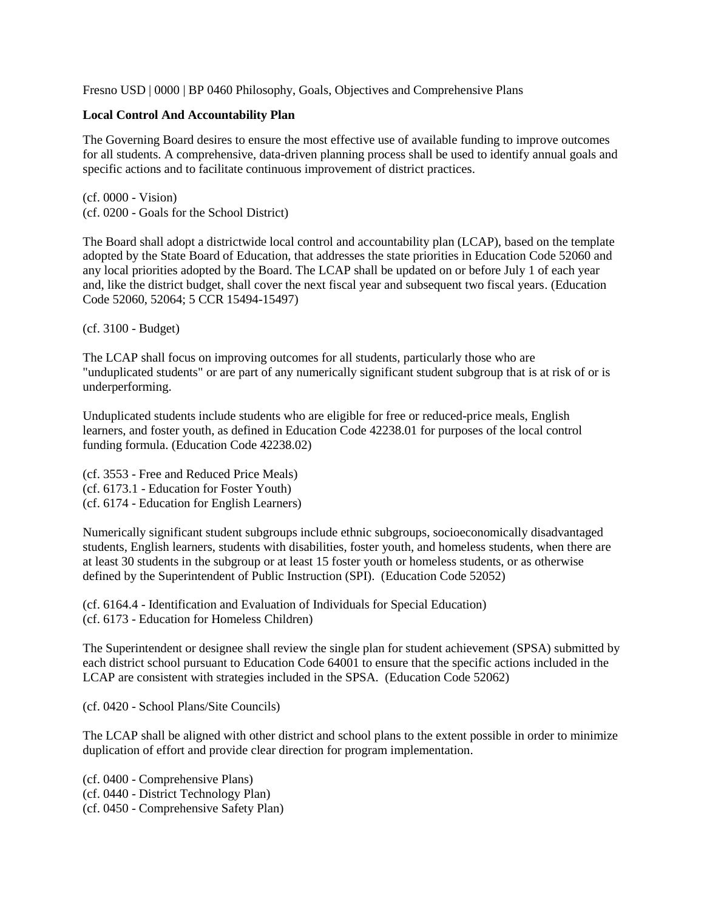### Fresno USD | 0000 | BP 0460 Philosophy, Goals, Objectives and Comprehensive Plans

### **Local Control And Accountability Plan**

The Governing Board desires to ensure the most effective use of available funding to improve outcomes for all students. A comprehensive, data-driven planning process shall be used to identify annual goals and specific actions and to facilitate continuous improvement of district practices.

(cf. 0000 - Vision) (cf. 0200 - Goals for the School District)

The Board shall adopt a districtwide local control and accountability plan (LCAP), based on the template adopted by the State Board of Education, that addresses the state priorities in Education Code 52060 and any local priorities adopted by the Board. The LCAP shall be updated on or before July 1 of each year and, like the district budget, shall cover the next fiscal year and subsequent two fiscal years. (Education Code 52060, 52064; 5 CCR 15494-15497)

(cf. 3100 - Budget)

The LCAP shall focus on improving outcomes for all students, particularly those who are "unduplicated students" or are part of any numerically significant student subgroup that is at risk of or is underperforming.

Unduplicated students include students who are eligible for free or reduced-price meals, English learners, and foster youth, as defined in Education Code 42238.01 for purposes of the local control funding formula. (Education Code 42238.02)

(cf. 3553 - Free and Reduced Price Meals) (cf. 6173.1 - Education for Foster Youth) (cf. 6174 - Education for English Learners)

Numerically significant student subgroups include ethnic subgroups, socioeconomically disadvantaged students, English learners, students with disabilities, foster youth, and homeless students, when there are at least 30 students in the subgroup or at least 15 foster youth or homeless students, or as otherwise defined by the Superintendent of Public Instruction (SPI). (Education Code 52052)

(cf. 6164.4 - Identification and Evaluation of Individuals for Special Education) (cf. 6173 - Education for Homeless Children)

The Superintendent or designee shall review the single plan for student achievement (SPSA) submitted by each district school pursuant to Education Code 64001 to ensure that the specific actions included in the LCAP are consistent with strategies included in the SPSA. (Education Code 52062)

(cf. 0420 - School Plans/Site Councils)

The LCAP shall be aligned with other district and school plans to the extent possible in order to minimize duplication of effort and provide clear direction for program implementation.

(cf. 0400 - Comprehensive Plans) (cf. 0440 - District Technology Plan) (cf. 0450 - Comprehensive Safety Plan)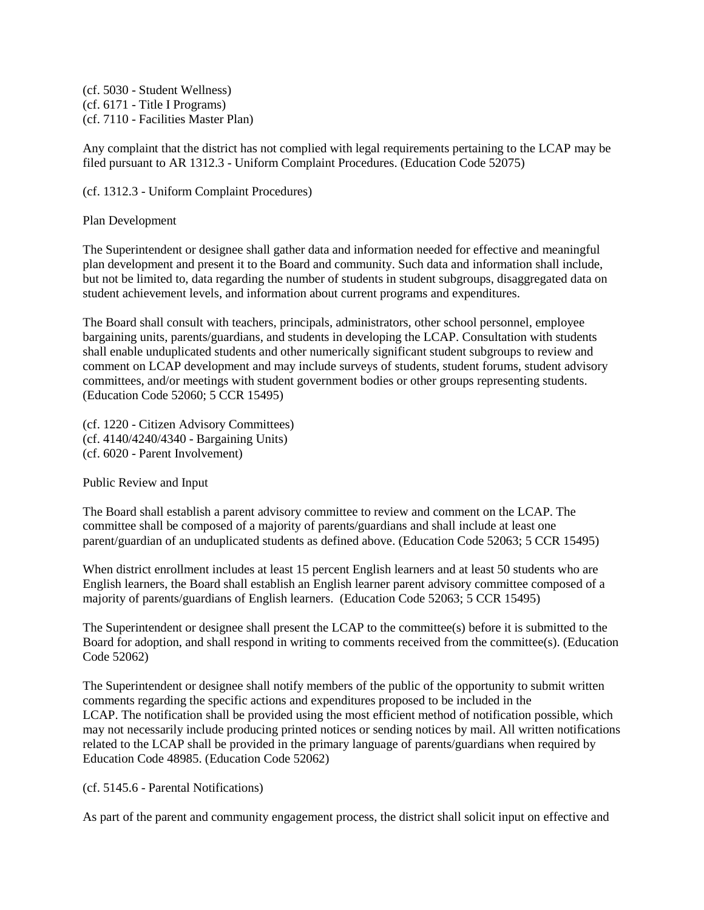(cf. 5030 - Student Wellness) (cf. 6171 - Title I Programs) (cf. 7110 - Facilities Master Plan)

Any complaint that the district has not complied with legal requirements pertaining to the LCAP may be filed pursuant to AR 1312.3 - Uniform Complaint Procedures. (Education Code 52075)

(cf. 1312.3 - Uniform Complaint Procedures)

Plan Development

The Superintendent or designee shall gather data and information needed for effective and meaningful plan development and present it to the Board and community. Such data and information shall include, but not be limited to, data regarding the number of students in student subgroups, disaggregated data on student achievement levels, and information about current programs and expenditures.

The Board shall consult with teachers, principals, administrators, other school personnel, employee bargaining units, parents/guardians, and students in developing the LCAP. Consultation with students shall enable unduplicated students and other numerically significant student subgroups to review and comment on LCAP development and may include surveys of students, student forums, student advisory committees, and/or meetings with student government bodies or other groups representing students. (Education Code 52060; 5 CCR 15495)

(cf. 1220 - Citizen Advisory Committees) (cf. 4140/4240/4340 - Bargaining Units) (cf. 6020 - Parent Involvement)

Public Review and Input

The Board shall establish a parent advisory committee to review and comment on the LCAP. The committee shall be composed of a majority of parents/guardians and shall include at least one parent/guardian of an unduplicated students as defined above. (Education Code 52063; 5 CCR 15495)

When district enrollment includes at least 15 percent English learners and at least 50 students who are English learners, the Board shall establish an English learner parent advisory committee composed of a majority of parents/guardians of English learners. (Education Code 52063; 5 CCR 15495)

The Superintendent or designee shall present the LCAP to the committee(s) before it is submitted to the Board for adoption, and shall respond in writing to comments received from the committee(s). (Education Code 52062)

The Superintendent or designee shall notify members of the public of the opportunity to submit written comments regarding the specific actions and expenditures proposed to be included in the LCAP. The notification shall be provided using the most efficient method of notification possible, which may not necessarily include producing printed notices or sending notices by mail. All written notifications related to the LCAP shall be provided in the primary language of parents/guardians when required by Education Code 48985. (Education Code 52062)

# (cf. 5145.6 - Parental Notifications)

As part of the parent and community engagement process, the district shall solicit input on effective and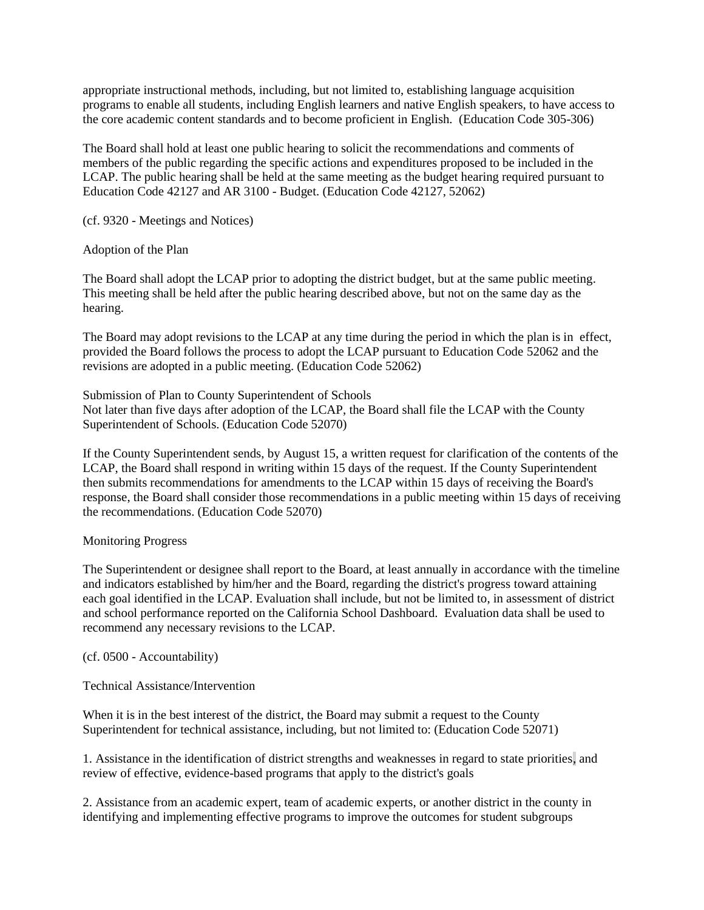appropriate instructional methods, including, but not limited to, establishing language acquisition programs to enable all students, including English learners and native English speakers, to have access to the core academic content standards and to become proficient in English. (Education Code 305-306)

The Board shall hold at least one public hearing to solicit the recommendations and comments of members of the public regarding the specific actions and expenditures proposed to be included in the LCAP. The public hearing shall be held at the same meeting as the budget hearing required pursuant to Education Code 42127 and AR 3100 - Budget. (Education Code 42127, 52062)

(cf. 9320 - Meetings and Notices)

# Adoption of the Plan

The Board shall adopt the LCAP prior to adopting the district budget, but at the same public meeting. This meeting shall be held after the public hearing described above, but not on the same day as the hearing.

The Board may adopt revisions to the LCAP at any time during the period in which the plan is in effect, provided the Board follows the process to adopt the LCAP pursuant to Education Code 52062 and the revisions are adopted in a public meeting. (Education Code 52062)

Submission of Plan to County Superintendent of Schools Not later than five days after adoption of the LCAP, the Board shall file the LCAP with the County Superintendent of Schools. (Education Code 52070)

If the County Superintendent sends, by August 15, a written request for clarification of the contents of the LCAP, the Board shall respond in writing within 15 days of the request. If the County Superintendent then submits recommendations for amendments to the LCAP within 15 days of receiving the Board's response, the Board shall consider those recommendations in a public meeting within 15 days of receiving the recommendations. (Education Code 52070)

# Monitoring Progress

The Superintendent or designee shall report to the Board, at least annually in accordance with the timeline and indicators established by him/her and the Board, regarding the district's progress toward attaining each goal identified in the LCAP. Evaluation shall include, but not be limited to, in assessment of district and school performance reported on the California School Dashboard. Evaluation data shall be used to recommend any necessary revisions to the LCAP.

(cf. 0500 - Accountability)

Technical Assistance/Intervention

When it is in the best interest of the district, the Board may submit a request to the County Superintendent for technical assistance, including, but not limited to: (Education Code 52071)

1. Assistance in the identification of district strengths and weaknesses in regard to state priorities, and review of effective, evidence-based programs that apply to the district's goals

2. Assistance from an academic expert, team of academic experts, or another district in the county in identifying and implementing effective programs to improve the outcomes for student subgroups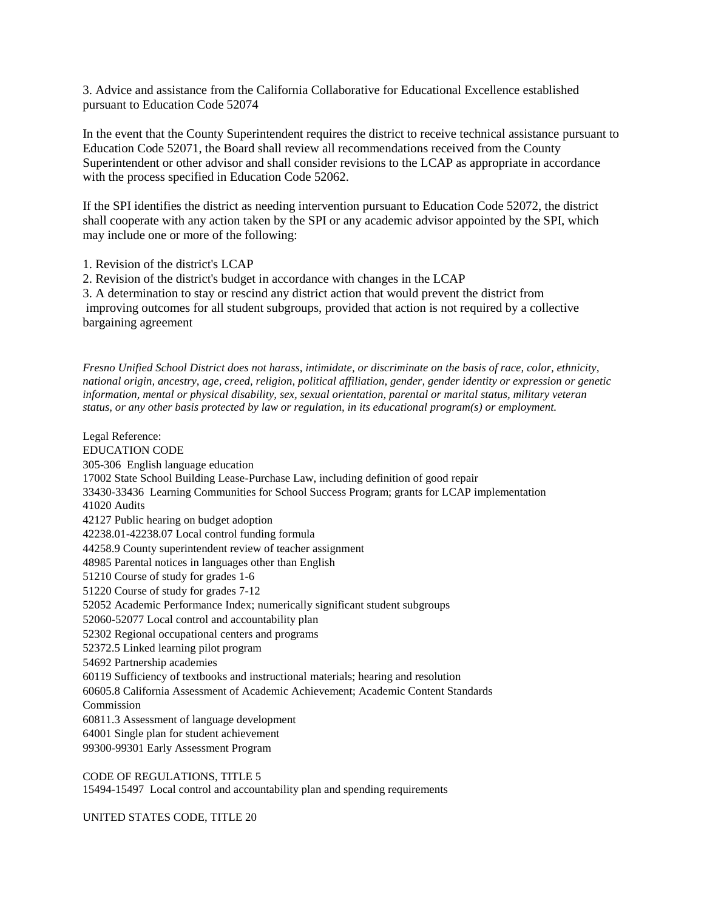3. Advice and assistance from the California Collaborative for Educational Excellence established pursuant to Education Code 52074

In the event that the County Superintendent requires the district to receive technical assistance pursuant to Education Code 52071, the Board shall review all recommendations received from the County Superintendent or other advisor and shall consider revisions to the LCAP as appropriate in accordance with the process specified in Education Code 52062.

If the SPI identifies the district as needing intervention pursuant to Education Code 52072, the district shall cooperate with any action taken by the SPI or any academic advisor appointed by the SPI, which may include one or more of the following:

- 1. Revision of the district's LCAP
- 2. Revision of the district's budget in accordance with changes in the LCAP

3. A determination to stay or rescind any district action that would prevent the district from improving outcomes for all student subgroups, provided that action is not required by a collective bargaining agreement

*Fresno Unified School District does not harass, intimidate, or discriminate on the basis of race, color, ethnicity, national origin, ancestry, age, creed, religion, political affiliation, gender, gender identity or expression or genetic information, mental or physical disability, sex, sexual orientation, parental or marital status, military veteran status, or any other basis protected by law or regulation, in its educational program(s) or employment.*

Legal Reference: EDUCATION CODE 305-306 English language education 17002 State School Building Lease-Purchase Law, including definition of good repair 33430-33436 Learning Communities for School Success Program; grants for LCAP implementation 41020 Audits 42127 Public hearing on budget adoption 42238.01-42238.07 Local control funding formula 44258.9 County superintendent review of teacher assignment 48985 Parental notices in languages other than English 51210 Course of study for grades 1-6 51220 Course of study for grades 7-12 52052 Academic Performance Index; numerically significant student subgroups 52060-52077 Local control and accountability plan 52302 Regional occupational centers and programs 52372.5 Linked learning pilot program 54692 Partnership academies 60119 Sufficiency of textbooks and instructional materials; hearing and resolution 60605.8 California Assessment of Academic Achievement; Academic Content Standards Commission 60811.3 Assessment of language development 64001 Single plan for student achievement 99300-99301 Early Assessment Program

CODE OF REGULATIONS, TITLE 5 15494-15497 Local control and accountability plan and spending requirements

UNITED STATES CODE, TITLE 20